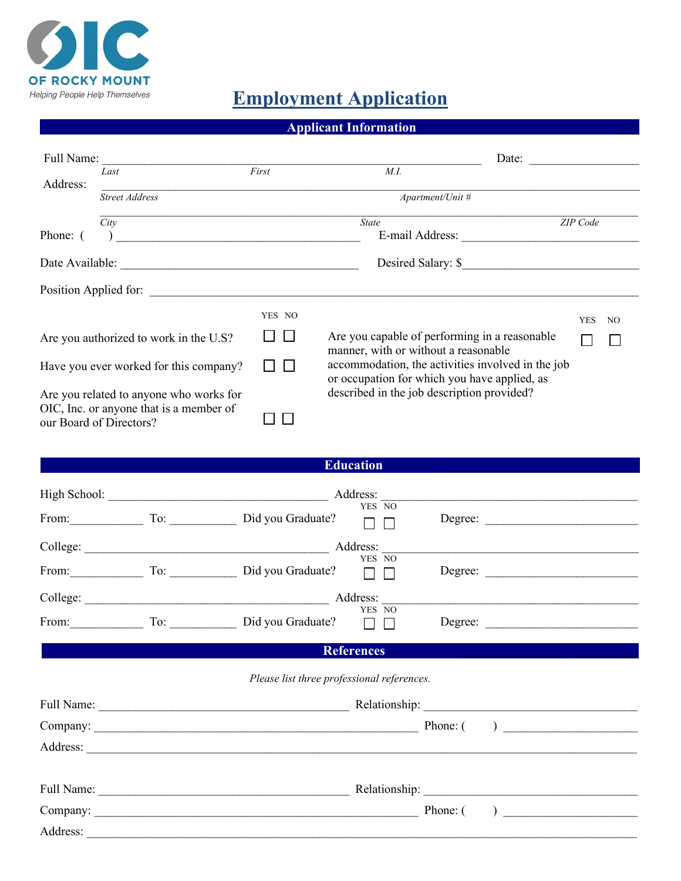

## **Employment Application**

| <b>Applicant Information</b> |
|------------------------------|
|                              |

| Full Name:              |                                         |        | Date:                                                                                             |            |     |
|-------------------------|-----------------------------------------|--------|---------------------------------------------------------------------------------------------------|------------|-----|
|                         | Last                                    | First  | M.I.                                                                                              |            |     |
| Address:                | <b>Street Address</b>                   |        | Apartment/Unit #                                                                                  |            |     |
|                         | City                                    |        | State                                                                                             | ZIP Code   |     |
| Phone: (                |                                         |        | E-mail Address:                                                                                   |            |     |
|                         | Date Available:                         |        | Desired Salary: \$                                                                                |            |     |
| Position Applied for:   |                                         |        |                                                                                                   |            |     |
|                         |                                         | YES NO |                                                                                                   | <b>YES</b> | NO. |
|                         | Are you authorized to work in the U.S?  |        | Are you capable of performing in a reasonable<br>manner, with or without a reasonable             |            |     |
|                         | Have you ever worked for this company?  |        | accommodation, the activities involved in the job<br>or occupation for which you have applied, as |            |     |
|                         | Are you related to anyone who works for |        | described in the job description provided?                                                        |            |     |
| our Board of Directors? | OIC, Inc. or anyone that is a member of |        |                                                                                                   |            |     |

|              |     | Education         |        |         |  |
|--------------|-----|-------------------|--------|---------|--|
| High School: |     | Address:          |        |         |  |
| From:        | To: | Did you Graduate? | YES NO | Degree: |  |
| College:     |     | Address:          |        |         |  |
| From:        | To: | Did you Graduate? | YES NO | Degree: |  |
| College:     |     | Address:          |        |         |  |
| From:        | To: | Did you Graduate? | YES NO | Degree: |  |

## **References** \_\_\_\_\_\_\_\_\_\_\_\_\_\_\_\_\_\_ \_\_\_\_\_\_\_\_\_\_\_

## *Please list three professional references.*

| Full Name:<br><u> 1980 - Johann Stone, markin film fan it fjort fan de ferstjer fan it fjort fan de ferstjer fan it fjort fan </u> |                                                                            |
|------------------------------------------------------------------------------------------------------------------------------------|----------------------------------------------------------------------------|
|                                                                                                                                    | Phone: (<br>) and the contract of the contract of $\overline{\phantom{a}}$ |
| Address:                                                                                                                           |                                                                            |
|                                                                                                                                    |                                                                            |
| Full Name:                                                                                                                         |                                                                            |
| Company:                                                                                                                           | Phone: (<br>) and the contract of $\overline{\phantom{a}}$                 |
| Address:                                                                                                                           |                                                                            |